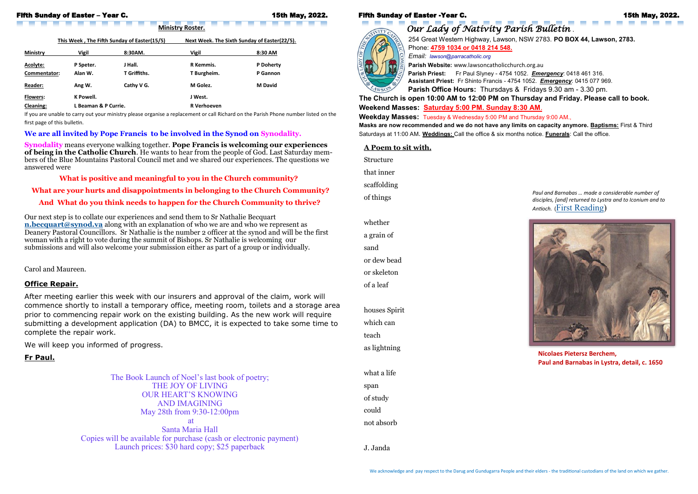## Fifth Sunday of Easter – Year C. 15th May, 2022.

 $\mathcal{L}_{\mathcal{A}}$ 

This Week, The Fifth Sunday of Easter(15/5) Next Week. The Sixth Sunday of Easter(22/5).

*Our Lady of Nativity Parish Bulletin* . 254 Great Western Highway, Lawson, NSW 2783. **PO BOX 44, Lawson, 2783.** Phone: **4759 1034 or 0418 214 548.**  *Email: lawson@parracatholic.org*

**Parish Website:** www.lawsoncatholicchurch.org.au **Parish Priest:** Fr Paul Slyney - 4754 1052. *Emergency*: 0418 461 316. **Assistant Priest:** Fr Shinto Francis - 4754 1052. *Emergency*: 0415 077 969. **Parish Office Hours:** Thursdays & Fridays 9.30 am - 3.30 pm.

**The Church is open 10:00 AM to 12:00 PM on Thursday and Friday. Please call to book. Weekend Masses: Saturday 5:00 PM. Sunday 8:30 AM**. **Weekday Masses:** Tuesday & Wednesday 5:00 PM and Thursday 9:00 AM., **Masks are now recommended and we do not have any limits on capacity anymore. Baptisms:** First & Third Saturdays at 11:00 AM. **Weddings:** Call the office & six months notice. **Funerals**: Call the office.

**Ministry Roster.** 

| <b>Ministry</b>  | <b>Vigil</b>         | 8:30AM.             | <b>Vigil</b>       | 8:30 AM        |
|------------------|----------------------|---------------------|--------------------|----------------|
| Acolyte:         | P Speter.            | J Hall.             | R Kemmis.          | P Doherty      |
| Commentator:     | Alan W.              | <b>T</b> Griffiths. | T Burgheim.        | P Gannon       |
| <b>Reader:</b>   | Ang W.               | Cathy V G.          | M Golez.           | <b>M</b> David |
| <b>Flowers:</b>  | K Powell.            |                     | J West.            |                |
| <b>Cleaning:</b> | L Beaman & P Currie. |                     | <b>R</b> Verhoeven |                |

If you are unable to carry out your ministry please organise a replacement or call Richard on the Parish Phone number listed on the first page of this bulletin.

#### **We are all invited by Pope Francis to be involved in the Synod on Synodality.**

**Synodality** means everyone walking together. **Pope Francis is welcoming our experiences of being in the Catholic Church**. He wants to hear from the people of God. Last Saturday members of the Blue Mountains Pastoral Council met and we shared our experiences. The questions we answered were

### **What is positive and meaningful to you in the Church community?**

**What are your hurts and disappointments in belonging to the Church Community?**

### **And What do you think needs to happen for the Church Community to thrive?**

Our next step is to collate our experiences and send them to Sr Nathalie Becquart **[n.becquart@synod.va](mailto:n.becquart@synod.va)** along with an explanation of who we are and who we represent as Deanery Pastoral Councillors. Sr Nathalie is the number 2 officer at the synod and will be the first woman with a right to vote during the summit of Bishops. Sr Nathalie is welcoming our submissions and will also welcome your submission either as part of a group or individually.

Carol and Maureen.

#### **A Poem to sit with.**

Structure that inner scaffolding of things whether a grain of sand or dew bead or skeleton of a leaf houses Spirit which can teach as lightning what a life span of study could not absorb

J. Janda

*Paul and Barnabas … made a considerable number of disciples, [and] returned to Lystra and to Iconium and to Antioch.* ([First Reading\)](https://bible.usccb.org/bible/readings/051522.cfm) 



**Nicolaes Pietersz Berchem, Paul and Barnabas in Lystra, detail, c. 1650**

## **Office Repair.**

After meeting earlier this week with our insurers and approval of the claim, work will commence shortly to install a temporary office, meeting room, toilets and a storage area prior to commencing repair work on the existing building. As the new work will require submitting a development application (DA) to BMCC, it is expected to take some time to complete the repair work.

We will keep you informed of progress.

### **Fr Paul.**

The Book Launch of Noel's last book of poetry; THE JOY OF LIVING OUR HEART'S KNOWING AND IMAGINING May 28th from 9:30-12:00pm at

Santa Maria Hall Copies will be available for purchase (cash or electronic payment) Launch prices: \$30 hard copy; \$25 paperback

#### Fifth Sunday of Easter -Year C. 15th May, 2022.